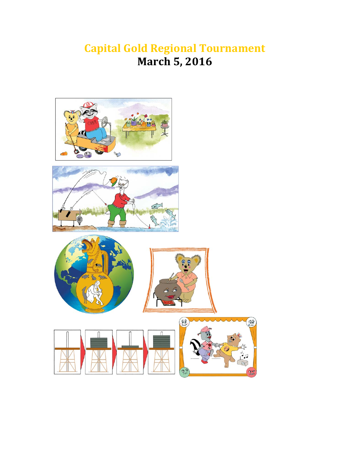# **Capital Gold Regional Tournament March 5, 2016**

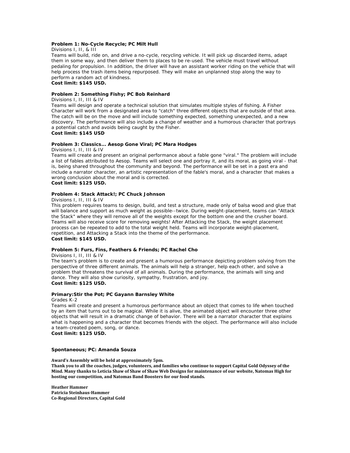#### **Problem 1: No-Cycle Recycle; PC Milt Hull**

Divisions I, II, & III

Teams will build, ride on, and drive a no-cycle, recycling vehicle. It will pick up discarded items, adapt them in some way, and then deliver them to places to be re-used. The vehicle must travel without pedaling for propulsion. In addition, the driver will have an assistant worker riding on the vehicle that will help process the trash items being repurposed. They will make an unplanned stop along the way to perform a random act of kindness. **Cost limit: \$145 USD.**

#### **Problem 2: Something Fishy; PC Bob Reinhard**

Divisions I, II, III & IV

Teams will design and operate a technical solution that simulates multiple styles of fishing. A Fisher Character will work from a designated area to "catch" three different objects that are outside of that area. The catch will be on the move and will include something expected, something unexpected, and a new discovery. The performance will also include a change of weather and a humorous character that portrays a potential catch and avoids being caught by the Fisher.

## **Cost limit: \$145 USD**

#### **Problem 3: Classics... Aesop Gone Viral; PC Mara Hodges**

Divisions I, II, III & IV

Teams will create and present an original performance about a fable gone "viral." The problem will include a list of fables attributed to Aesop. Teams will select one and portray it, and its moral, as going viral - that is, being shared throughout the community and beyond. The performance will be set in a past era and include a narrator character, an artistic representation of the fable's moral, and a character that makes a wrong conclusion about the moral and is corrected. **Cost limit: \$125 USD.**

#### **Problem 4: Stack Attack!; PC Chuck Johnson**

Divisions I, II, III & IV

This problem requires teams to design, build, and test a structure, made only of balsa wood and glue that will balance and support as much weight as possible--twice. During weight-placement, teams can "Attack the Stack" where they will remove all of the weights except for the bottom one and the crusher board. Teams will also receive score for removing weights! After Attacking the Stack, the weight placement process can be repeated to add to the total weight held. Teams will incorporate weight-placement, repetition, and Attacking a Stack into the theme of the performance. **Cost limit: \$145 USD.**

#### **Problem 5: Furs, Fins, Feathers & Friends; PC Rachel Cho**

Divisions I, II, III & IV

The team's problem is to create and present a humorous performance depicting problem solving from the perspective of three different animals. The animals will help a stranger, help each other, and solve a problem that threatens the survival of all animals. During the performance, the animals will sing and dance. They will also show curiosity, sympathy, frustration, and joy. **Cost limit: \$125 USD.**

#### **Primary:Stir the Pot; PC Gayann Barnsley White**

#### Grades K-2

Teams will create and present a humorous performance about an object that comes to life when touched by an item that turns out to be magical. While it is alive, the animated object will encounter three other objects that will result in a dramatic change of behavior. There will be a narrator character that explains what is happening and a character that becomes friends with the object. The performance will also include a team-created poem, song, or dance.

**Cost limit: \$125 USD.**

#### **Spontaneous; PC: Amanda Souza**

**Award's Assembly will be held at approximately 5pm.** 

Thank you to all the coaches, judges, volunteers, and families who continue to support Capital Gold Odyssey of the Mind. Many thanks to Leticia Shaw of Shaw of Shaw Web Designs for maintenance of our website, Natomas High for **hosting our competition, and Natomas Band Boosters for our food stands.**

**Heather Hammer Patricia Steinhaus‐Hammer Co‐Regional Directors, Capital Gold**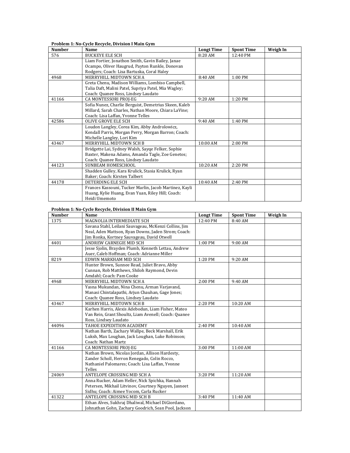#### **Problem 1: No‐Cycle Recycle, Division I Main Gym**

| <b>Number</b> | Name                                                   | <b>Longt Time</b> | <b>Spont Time</b>  | Weigh In |
|---------------|--------------------------------------------------------|-------------------|--------------------|----------|
| 576           | <b>BUCKEYE ELE SCH</b>                                 | 8:20 AM           | $12:40 \text{ PM}$ |          |
|               | Liam Fortier, Jonathon Smith, Gavin Bailey, Janae      |                   |                    |          |
|               | Ocampo, Oliver Haugrud, Payton Runkle, Donovan         |                   |                    |          |
|               | Rodgers; Coach: Lisa Bartuska, Coral Haley             |                   |                    |          |
| 4968          | MERRYHILL MIDTOWN SCH A                                | 8:40 AM           | 1:00 PM            |          |
|               | Greta Chenu, Madison Williams, Lombiso Campbell,       |                   |                    |          |
|               | Talia Daft, Malini Patel, Supriya Patel, Mia Wagley;   |                   |                    |          |
|               | Coach: Quanee Ross, Lindsey Laudato                    |                   |                    |          |
| 41166         | CA MONTESSORI PROJ-EG                                  | 9:20 AM           | 1:20 PM            |          |
|               | Sofia Nunez, Charlie Berguist, Demetrius Skeen, Kaleb  |                   |                    |          |
|               | Millard, Sarah Charles, Nathan Moore, Chiara LaVine;   |                   |                    |          |
|               | Coach: Lisa Laffan, Yvonne Telles                      |                   |                    |          |
| 42586         | OLIVE GROVE ELE SCH                                    | 9:40 AM           | 1:40 PM            |          |
|               | Loudon Langley, Corea Kim, Abby Androlowicz,           |                   |                    |          |
|               | Kendall Parris, Morgan Perry, Morgan Barron; Coach:    |                   |                    |          |
|               | Michelle Langley, Lori Kim                             |                   |                    |          |
| 43467         | MERRYHILL MIDTOWN SCH B                                | $10:00$ AM        | 2:00 PM            |          |
|               | Bridgette Lai, Sydney Walsh, Sayqe Felker, Sophie      |                   |                    |          |
|               | Baxter, Makena Adams, Amanda Tagle, Zoe Genetos;       |                   |                    |          |
|               | Coach: Quanee Ross, Lindsey Laudato                    |                   |                    |          |
| 44123         | SUNBEAM HOMESCHOOL                                     | 10:20 AM          | 2:20 PM            |          |
|               | Shadden Gulley, Kara Krulick, Stasia Krulick, Ryan     |                   |                    |          |
|               | Baker; Coach: Kirsten Talbert                          |                   |                    |          |
| 44178         | DETERDING ELE SCH                                      | 10:40 AM          | 2:40 PM            |          |
|               | Frances Kassouni, Tucker Marlin, Jacob Martinez, Kayli |                   |                    |          |
|               | Huang, Kylie Huang, Evan Yuan, Riley Hill; Coach:      |                   |                    |          |
|               | Heidi Umemoto                                          |                   |                    |          |

# **Problem 1: No‐Cycle Recycle, Division II Main Gym**

| <b>Number</b> | Name                                                  | <b>Longt Time</b> | <b>Spont Time</b> | Weigh In |
|---------------|-------------------------------------------------------|-------------------|-------------------|----------|
| 1375          | MAGNOLIA INTERMEDIATE SCH                             | 12:40 PM          | 8:40 AM           |          |
|               | Savana Stahl, Leilani Sauvageau, McKenzi Collins, Jim |                   |                   |          |
|               | Neal, Aden Mattson, Ryan Downs, Jaden Strom; Coach:   |                   |                   |          |
|               | Jim Ronka, Kortney Sauvageau, David Otwell            |                   |                   |          |
| 4401          | ANDREW CARNEGIE MID SCH                               | 1:00 PM           | 9:00 AM           |          |
|               | Jesse Sjolin, Brayden Plumb, Kenneth Lettau, Andrew   |                   |                   |          |
|               | Auer, Caleb Hoffman; Coach: Adrianne Miller           |                   |                   |          |
| 8219          | EDWIN MARKHAM MID SCH                                 | 1:20 PM           | 9:20 AM           |          |
|               | Hunter Brown, Sunnee Read, Juliet Bravo, Abby         |                   |                   |          |
|               | Cunnan, Rob Matthews, Shiloh Raymond, Devin           |                   |                   |          |
|               | Amdahl; Coach: Pam Cooke                              |                   |                   |          |
| 4968          | MERRYHILL MIDTOWN SCH A                               | 2:00 PM           | 9:40 AM           |          |
|               | Yasna Mukundan, Nina Chenu, Arman Varjavand,          |                   |                   |          |
|               | Manasi Chintalapathi, Arjun Chauhan, Gage Jones;      |                   |                   |          |
|               | Coach: Quanee Ross, Lindsey Laudato                   |                   |                   |          |
| 43467         | MERRYHILL MIDTOWN SCH B                               | 2:20 PM           | 10:20 AM          |          |
|               | Karhen Harris, Alexis Adebodun, Liam Fisher, Mateo    |                   |                   |          |
|               | Van Rein, Grant Shoultz, Liam Avenell; Coach: Quanee  |                   |                   |          |
|               | Ross, Lindsey Laudato                                 |                   |                   |          |
| 44096         | TAHOE EXPEDITION ACADEMY                              | 2:40 PM           | 10:40 AM          |          |
|               | Nathan Barth, Zachary Wallpe, Beck Marshall, Erik     |                   |                   |          |
|               | Luksh, Max Loughan, Jack Loughan, Luke Robinson;      |                   |                   |          |
|               | Coach: Nathan Martz                                   |                   |                   |          |
| 41166         | CA MONTESSORI PROJ-EG                                 | 3:00 PM           | 11:00 AM          |          |
|               | Nathan Brown, Nicolas Jordan, Allison Hardesty,       |                   |                   |          |
|               | Zander Scholl, Herron Renegado, Colin Rocco,          |                   |                   |          |
|               | Nathaniel Palomares; Coach: Lisa Laffan, Yvonne       |                   |                   |          |
|               | Telles                                                |                   |                   |          |
| 24069         | ANTELOPE CROSSING MID SCH A                           | 3:20 PM           | 11:20 AM          |          |
|               | Anna Rucker, Adam Heller, Nick Spichka, Hannah        |                   |                   |          |
|               | Petersen, Mikhail Litvinov, Courtney Nguyen, Jasneet  |                   |                   |          |
|               | Sidhu; Coach: Aimee Yocom, Carla Rucker               |                   |                   |          |
| 41322         | ANTELOPE CROSSING MID SCH B                           | 3:40 PM           | 11:40 AM          |          |
|               | Ethan Alves, Sukhraj Dhaliwal, Michael DiGiordano,    |                   |                   |          |
|               | Johnathan Gohn, Zachary Goodrich, Sean Pool, Jackson  |                   |                   |          |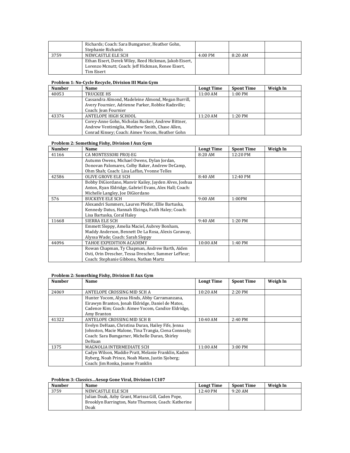|      | Richards; Coach: Sara Bumgarner, Heather Gohn,         |           |           |  |
|------|--------------------------------------------------------|-----------|-----------|--|
|      | Stephanie Richards                                     |           |           |  |
| 3759 | NEWCASTLE ELE SCH                                      | $4:00$ PM | $8:20$ AM |  |
|      | Ethan Eisert, Derek Wiley, Reed Hickman, Jakob Eisert, |           |           |  |
|      | Lorenzo Mcnutt; Coach: Jeff Hickman, Renee Eisert,     |           |           |  |
|      | Tim Eisert                                             |           |           |  |

# **Problem 1: No‐Cycle Recycle, Division III Main Gym**

| <b>Number</b> | Name                                               | <b>Longt Time</b> | <b>Spont Time</b> | Weigh In |
|---------------|----------------------------------------------------|-------------------|-------------------|----------|
| 40053         | TRUCKEE HS                                         | 11:00 AM          | $1:00$ PM         |          |
|               | Cassandra Almond, Madeleine Almond, Megan Burrill, |                   |                   |          |
|               | Avery Fournier, Adrienne Parker, Robbie Radzville; |                   |                   |          |
|               | Coach: Jean Fournier                               |                   |                   |          |
| 43376         | ANTELOPE HIGH SCHOOL                               | 11:20 AM          | $1:20$ PM         |          |
|               | Corey-Anne Gohn, Nicholas Rucker, Andrew Bittner,  |                   |                   |          |
|               | Andrew Ventimiglia, Matthew Smith, Chase Allen,    |                   |                   |          |
|               | Conrad Kinsey; Coach: Aimee Yocom, Heather Gohn    |                   |                   |          |

## **Problem 2: Something Fishy, Division I Aux Gym**

| <b>Number</b> | Name                                                   | <b>Longt Time</b> | <b>Spont Time</b> | Weigh In |
|---------------|--------------------------------------------------------|-------------------|-------------------|----------|
| 41166         | CA MONTESSORI PROJ-EG                                  | 8:20 AM           | 12:20 PM          |          |
|               | Autumn Owens, Michael Owens, Dylan Jordan,             |                   |                   |          |
|               | Donovan Palomares, Colby Baker, Andrew DeCamp,         |                   |                   |          |
|               | Ohm Shah; Coach: Lisa Laffan, Yvonne Telles            |                   |                   |          |
| 42586         | OLIVE GROVE ELE SCH                                    | 8:40AM            | 12:40 PM          |          |
|               | Bobby DiGiordano, Manyir Kailey, Jayden Alves, Joshua  |                   |                   |          |
|               | Anton, Ryan Eldridge, Gabriel Evans, Alex Hall; Coach: |                   |                   |          |
|               | Michelle Langley, Joe DiGiordano                       |                   |                   |          |
| 576           | <b>BUCKEYE ELE SCH</b>                                 | $9:00$ AM         | 1:00PM            |          |
|               | Alexandri Summers, Lauren Pfeifer, Ellie Bartuska,     |                   |                   |          |
|               | Kennedy Datus, Hannah Elzinga, Faith Haley; Coach:     |                   |                   |          |
|               | Lisa Bartuska, Coral Haley                             |                   |                   |          |
| 11668         | SIERRA ELE SCH                                         | 9:40AM            | 1:20 PM           |          |
|               | Emmett Sleppy, Amelia Maciel, Aubrey Bonham,           |                   |                   |          |
|               | Maddy Anderson, Bennett De La Rosa, Alexis Caraway,    |                   |                   |          |
|               | Alyssa Wade; Coach: Sarah Sleppy                       |                   |                   |          |
| 44096         | TAHOE EXPEDITION ACADEMY                               | 10:00 AM          | 1:40 PM           |          |
|               | Rowan Chapman, Ty Chapman, Andrew Barth, Aiden         |                   |                   |          |
|               | Osti, Orin Drescher, Tessa Drescher, Summer LeFleur;   |                   |                   |          |
|               | Coach: Stephanie Gibbons, Nathan Martz                 |                   |                   |          |

## **Problem 2: Something Fishy, Division II Aux Gym**

| Number | Name                                                  | <b>Longt Time</b> | <b>Spont Time</b> | Weigh In |
|--------|-------------------------------------------------------|-------------------|-------------------|----------|
|        |                                                       |                   |                   |          |
| 24069  | ANTELOPE CROSSING MID SCH A                           | 10:20 AM          | 2:20 PM           |          |
|        | Hunter Yocom, Alyssa Hinds, Abby Carramanzana,        |                   |                   |          |
|        | Eirawyn Branton, Jonah Eldridge, Daniel de Matos,     |                   |                   |          |
|        | Cadence Kim; Coach: Aimee Yocom, Candice Eldridge,    |                   |                   |          |
|        | Amy Branton                                           |                   |                   |          |
| 41322  | ANTELOPE CROSSING MID SCH B                           | 10:40 AM          | 2:40 PM           |          |
|        | Evelyn DeHaan, Christina Duran, Hailey Fife, Jenna    |                   |                   |          |
|        | Johnston, Macie Malone, Tina Trangia, Ciena Connealy; |                   |                   |          |
|        | Coach: Sara Bumgarner, Michelle Duran, Shirley        |                   |                   |          |
|        | DeHaan                                                |                   |                   |          |
| 1375   | MAGNOLIA INTERMEDIATE SCH                             | 11:00 AM          | 3:00 PM           |          |
|        | Cadyn Wilson, Maddie Pratt, Melanie Franklin, Kaden   |                   |                   |          |
|        | Ryberg, Noah Prince, Noah Mann, Justin Sjoberg;       |                   |                   |          |
|        | Coach: Jim Ronka, Jeanne Franklin                     |                   |                   |          |

# **Problem 3: Classics…Aesop Gone Viral, Division I C107**

| <b>Number</b> | <b>Name</b>                                         | <b>Longt Time</b>  | <b>Spont Time</b> | Weigh In |
|---------------|-----------------------------------------------------|--------------------|-------------------|----------|
| 3759          | NEWCASTLE ELE SCH                                   | $12:40 \text{ PM}$ | $9:20$ AM         |          |
|               | Julian Doak, Azby Grant, Marissa Gill, Caden Pope,  |                    |                   |          |
|               | Brooklyn Barrington, Nate Thurmon; Coach: Katherine |                    |                   |          |
|               | Doak                                                |                    |                   |          |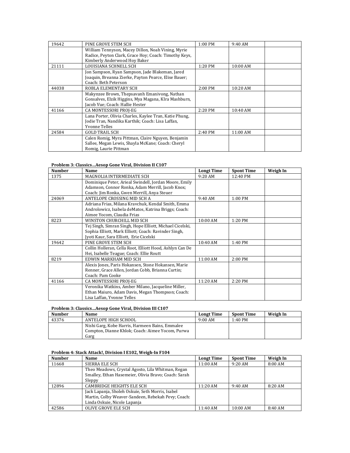| 19642 | PINE GROVE STEM SCH                                                          | $1:00 \text{ PM}$ | 9:40AM   |  |
|-------|------------------------------------------------------------------------------|-------------------|----------|--|
|       | William Tennyson, Macey Dillon, Noah Vining, Myrie                           |                   |          |  |
|       | Radice, Peyton Clark, Grace Hoy; Coach: Timothy Keys,                        |                   |          |  |
|       | Kimberly Anderwood Hoy Baker                                                 |                   |          |  |
| 21111 | LOUISIANA SCHNELL SCH                                                        | $1:20$ PM         | 10:00 AM |  |
|       | Jon Sampson, Ryan Sampson, Jade Blakeman, Jared                              |                   |          |  |
|       | Joaquin, Breanna Zierke, Payton Pearce, Elise Bauer;<br>Coach: Beth Peterson |                   |          |  |
| 44038 |                                                                              | 2:00 PM           |          |  |
|       | ROBLA ELEMENTARY SCH                                                         |                   | 10:20 AM |  |
|       | Makynzee Brown, Thepsavanh Emanivong, Nathan                                 |                   |          |  |
|       | Gonsalves, Elzik Higgins, Mya Magana, KIra Mashburn,                         |                   |          |  |
|       | Jacob Vue; Coach: Hallie Hester                                              |                   |          |  |
| 41166 | CA MONTESSORI PROJ-EG                                                        | $2:20$ PM         | 10:40 AM |  |
|       | Lana Porter, Olivia Charles, Kaylee Tran, Katie Phung,                       |                   |          |  |
|       | Jodie Tran, Nandika Karthik; Coach: Lisa Laffan,                             |                   |          |  |
|       | <b>Yvonne Telles</b>                                                         |                   |          |  |
| 24584 | <b>GOLD TRAIL SCH</b>                                                        | 2:40 PM           | 11:00 AM |  |
|       | Calen Romig, Myra Pittman, Claire Nguyen, Benjamin                           |                   |          |  |
|       | Sallee, Megan Lewis, Shayla McKane; Coach: Cheryl                            |                   |          |  |
|       | Romig, Laurie Pittman                                                        |                   |          |  |

# **Problem 3: Classics…Aesop Gone Viral, Division II C107**

| <b>Number</b> | Name                                                     | <b>Longt Time</b> | <b>Spont Time</b> | Weigh In |
|---------------|----------------------------------------------------------|-------------------|-------------------|----------|
| 1375          | MAGNOLIA INTERMEDIATE SCH                                | $9:20$ AM         | 12:40 PM          |          |
|               | Dominique Peter, Arieal Swindell, Jordan Moore, Emily    |                   |                   |          |
|               | Adamson, Connor Ronka, Adam Merrill, Jacob Knox;         |                   |                   |          |
|               | Coach: Jim Ronka, Gwen Merrill, Anya Steuer              |                   |                   |          |
| 24069         | ANTELOPE CROSSING MID SCH A                              | 9:40 AM           | $1:00$ PM         |          |
|               | Adriana Frias, Milana Kravchuk, Kendal Smith, Emma       |                   |                   |          |
|               | Androlowicz, Isabela deMatos, Katrina Briggs; Coach:     |                   |                   |          |
|               | Aimee Yocom, Claudia Frias                               |                   |                   |          |
| 8223          | WINSTON CHURCHILL MID SCH                                | 10:00 AM          | 1:20 PM           |          |
|               | Tej Singh, Simran Singh, Hope Elliott, Michael Cicelski, |                   |                   |          |
|               | Sophia Elliott, Mark Elliott; Coach: Ravinder Singh,     |                   |                   |          |
|               | Jyoti Kaur, Sara Elliott, Erie Cicelski                  |                   |                   |          |
| 19642         | PINE GROVE STEM SCH                                      | 10:40 AM          | 1:40 PM           |          |
|               | Collin Holleran, Cella Root, Elliott Hood, Ashlyn Can De |                   |                   |          |
|               | Hei, Isabelle Teague; Coach: Ellie Routt                 |                   |                   |          |
| 8219          | EDWIN MARKHAM MID SCH                                    | 11:00 AM          | 2:00 PM           |          |
|               | Alexis Jones, Paris Hokansen, Stone Hokansen, Marie      |                   |                   |          |
|               | Renner, Grace Allen, Jordan Cobb, Brianna Curtin;        |                   |                   |          |
|               | Coach: Pam Cooke                                         |                   |                   |          |
| 41166         | CA MONTESSORI PROJ-EG                                    | 11:20 AM          | 2:20 PM           |          |
|               | Veronika Watkins, Amber Milano, Jacqueline Miller,       |                   |                   |          |
|               | Ethan Maiuro, Adam Davis, Megan Thompson; Coach:         |                   |                   |          |
|               | Lisa Laffan, Yvonne Telles                               |                   |                   |          |

## **Problem 3: Classics…Aesop Gone Viral, Division III C107**

| <b>Number</b> | <b>Name</b>                                      | <b>Longt Time</b> | <b>Spont Time</b> | Weigh In |
|---------------|--------------------------------------------------|-------------------|-------------------|----------|
| 43376         | ANTELOPE HIGH SCHOOL                             | $9:00$ AM         | $1:40 \text{ PM}$ |          |
|               | Nishi Garg, Kobe Harris, Harmeen Bains, Emmalee  |                   |                   |          |
|               | Compton, Dianne Khlok; Coach: Aimee Yocom, Purwa |                   |                   |          |
|               | Garg                                             |                   |                   |          |

# **Problem 4: Stack Attack!, Division I E102, Weigh‐In F104**

| <b>Number</b> | Name                                                 | <b>Longt Time</b> | <b>Spont Time</b> | Weigh In |
|---------------|------------------------------------------------------|-------------------|-------------------|----------|
| 11668         | SIERRA ELE SCH                                       | $11:00$ AM        | $9:20$ AM         | 8:00 AM  |
|               | Theo Meadows, Crystal Agosto, Lila Whitman, Regan    |                   |                   |          |
|               | Smalley, Ethan Hasemeier, Olivia Bravo; Coach: Sarah |                   |                   |          |
|               | Sleppy                                               |                   |                   |          |
| 12896         | CAMBRIDGE HEIGHTS ELE SCH                            | $11:20$ AM        | $9:40$ AM         | 8:20 AM  |
|               | Jack Lapanja, Sholeh Oskuie, Seth Morris, Isabel     |                   |                   |          |
|               | Martin, Colby Weaver-Sandeen, Rebekah Pevy; Coach:   |                   |                   |          |
|               | Linda Oskuie, Nicole Lapanja                         |                   |                   |          |
| 42586         | OLIVE GROVE ELE SCH                                  | $11:40$ AM        | $10:00$ AM        | 8:40AM   |